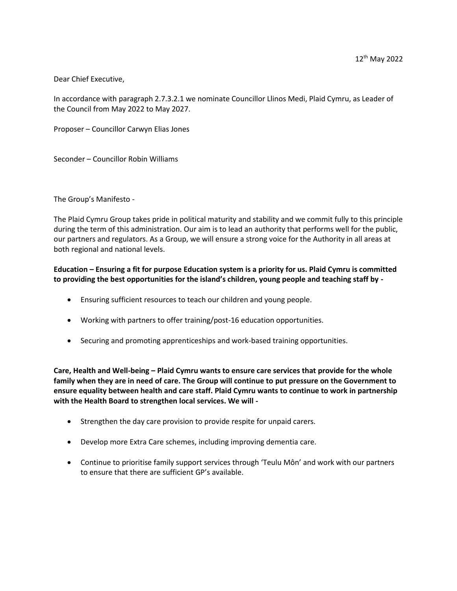Dear Chief Executive,

In accordance with paragraph 2.7.3.2.1 we nominate Councillor Llinos Medi, Plaid Cymru, as Leader of the Council from May 2022 to May 2027.

Proposer – Councillor Carwyn Elias Jones

Seconder – Councillor Robin Williams

The Group's Manifesto -

The Plaid Cymru Group takes pride in political maturity and stability and we commit fully to this principle during the term of this administration. Our aim is to lead an authority that performs well for the public, our partners and regulators. As a Group, we will ensure a strong voice for the Authority in all areas at both regional and national levels.

## **Education – Ensuring a fit for purpose Education system is a priority for us. Plaid Cymru is committed to providing the best opportunities for the island's children, young people and teaching staff by -**

- Ensuring sufficient resources to teach our children and young people.
- Working with partners to offer training/post-16 education opportunities.
- **•** Securing and promoting apprenticeships and work-based training opportunities.

**Care, Health and Well-being – Plaid Cymru wants to ensure care services that provide for the whole family when they are in need of care. The Group will continue to put pressure on the Government to ensure equality between health and care staff. Plaid Cymru wants to continue to work in partnership with the Health Board to strengthen local services. We will -**

- Strengthen the day care provision to provide respite for unpaid carers.
- Develop more Extra Care schemes, including improving dementia care.
- Continue to prioritise family support services through 'Teulu Môn' and work with our partners to ensure that there are sufficient GP's available.